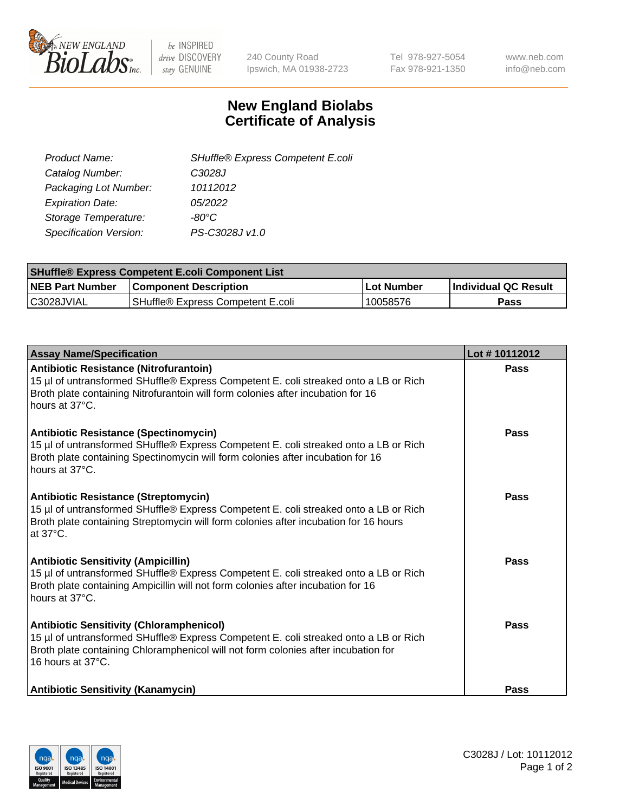

be INSPIRED drive DISCOVERY stay GENUINE

240 County Road Ipswich, MA 01938-2723 Tel 978-927-5054 Fax 978-921-1350 www.neb.com info@neb.com

## **New England Biolabs Certificate of Analysis**

| SHuffle® Express Competent E.coli |
|-----------------------------------|
| C3028J                            |
| 10112012                          |
| 05/2022                           |
| -80°C                             |
| PS-C3028J v1.0                    |
|                                   |

| <b>SHuffle® Express Competent E.coli Component List</b> |                                   |                   |                             |  |
|---------------------------------------------------------|-----------------------------------|-------------------|-----------------------------|--|
| <b>NEB Part Number</b>                                  | <b>Component Description</b>      | <b>Lot Number</b> | <b>Individual QC Result</b> |  |
| C3028JVIAL                                              | SHuffle® Express Competent E.coli | 10058576          | Pass                        |  |

| <b>Assay Name/Specification</b>                                                                                                                                                                                                                    | Lot #10112012 |
|----------------------------------------------------------------------------------------------------------------------------------------------------------------------------------------------------------------------------------------------------|---------------|
| Antibiotic Resistance (Nitrofurantoin)<br>15 µl of untransformed SHuffle® Express Competent E. coli streaked onto a LB or Rich<br>Broth plate containing Nitrofurantoin will form colonies after incubation for 16<br>hours at 37°C.               | Pass          |
| <b>Antibiotic Resistance (Spectinomycin)</b><br>15 µl of untransformed SHuffle® Express Competent E. coli streaked onto a LB or Rich<br>Broth plate containing Spectinomycin will form colonies after incubation for 16<br>hours at 37°C.          | Pass          |
| <b>Antibiotic Resistance (Streptomycin)</b><br>15 µl of untransformed SHuffle® Express Competent E. coli streaked onto a LB or Rich<br>Broth plate containing Streptomycin will form colonies after incubation for 16 hours<br>at 37°C.            | Pass          |
| <b>Antibiotic Sensitivity (Ampicillin)</b><br>15 µl of untransformed SHuffle® Express Competent E. coli streaked onto a LB or Rich<br>Broth plate containing Ampicillin will not form colonies after incubation for 16<br>hours at 37°C.           | Pass          |
| <b>Antibiotic Sensitivity (Chloramphenicol)</b><br>15 µl of untransformed SHuffle® Express Competent E. coli streaked onto a LB or Rich<br>Broth plate containing Chloramphenicol will not form colonies after incubation for<br>16 hours at 37°C. | Pass          |
| <b>Antibiotic Sensitivity (Kanamycin)</b>                                                                                                                                                                                                          | Pass          |